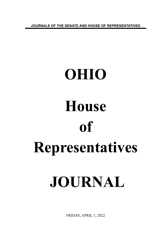**JOURNALS OF THE SENATE AND HOUSE OF REPRESENTATIVES**

## **OHIO House of Representatives JOURNAL**

FRIDAY, APRIL 1, 2022